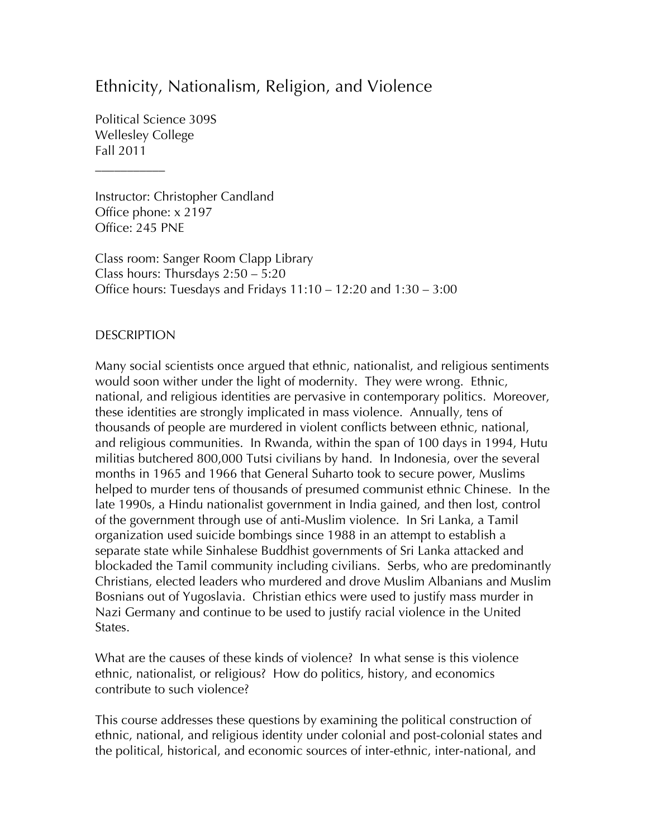## Ethnicity, Nationalism, Religion, and Violence

Political Science 309S Wellesley College Fall 2011

\_\_\_\_\_\_\_\_\_\_\_

Instructor: Christopher Candland Office phone: x 2197 Office: 245 PNE

Class room: Sanger Room Clapp Library Class hours: Thursdays 2:50 – 5:20 Office hours: Tuesdays and Fridays 11:10 – 12:20 and 1:30 – 3:00

#### **DESCRIPTION**

Many social scientists once argued that ethnic, nationalist, and religious sentiments would soon wither under the light of modernity. They were wrong. Ethnic, national, and religious identities are pervasive in contemporary politics. Moreover, these identities are strongly implicated in mass violence. Annually, tens of thousands of people are murdered in violent conflicts between ethnic, national, and religious communities. In Rwanda, within the span of 100 days in 1994, Hutu militias butchered 800,000 Tutsi civilians by hand. In Indonesia, over the several months in 1965 and 1966 that General Suharto took to secure power, Muslims helped to murder tens of thousands of presumed communist ethnic Chinese. In the late 1990s, a Hindu nationalist government in India gained, and then lost, control of the government through use of anti-Muslim violence. In Sri Lanka, a Tamil organization used suicide bombings since 1988 in an attempt to establish a separate state while Sinhalese Buddhist governments of Sri Lanka attacked and blockaded the Tamil community including civilians. Serbs, who are predominantly Christians, elected leaders who murdered and drove Muslim Albanians and Muslim Bosnians out of Yugoslavia. Christian ethics were used to justify mass murder in Nazi Germany and continue to be used to justify racial violence in the United States.

What are the causes of these kinds of violence? In what sense is this violence ethnic, nationalist, or religious? How do politics, history, and economics contribute to such violence?

This course addresses these questions by examining the political construction of ethnic, national, and religious identity under colonial and post-colonial states and the political, historical, and economic sources of inter-ethnic, inter-national, and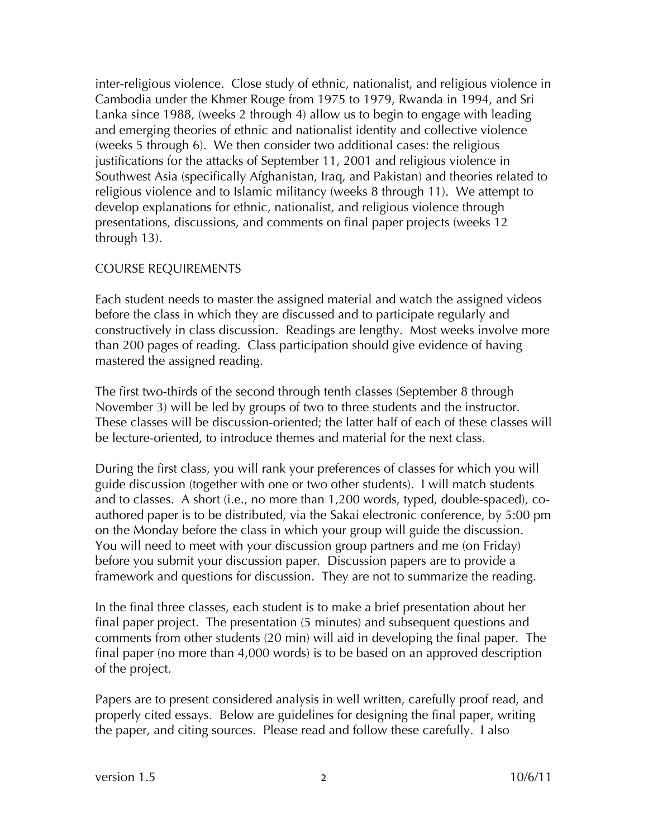inter-religious violence. Close study of ethnic, nationalist, and religious violence in Cambodia under the Khmer Rouge from 1975 to 1979, Rwanda in 1994, and Sri Lanka since 1988, (weeks 2 through 4) allow us to begin to engage with leading and emerging theories of ethnic and nationalist identity and collective violence (weeks 5 through 6). We then consider two additional cases: the religious justifications for the attacks of September 11, 2001 and religious violence in Southwest Asia (specifically Afghanistan, Iraq, and Pakistan) and theories related to religious violence and to Islamic militancy (weeks 8 through 11). We attempt to develop explanations for ethnic, nationalist, and religious violence through presentations, discussions, and comments on final paper projects (weeks 12 through 13).

#### COURSE REQUIREMENTS

Each student needs to master the assigned material and watch the assigned videos before the class in which they are discussed and to participate regularly and constructively in class discussion. Readings are lengthy. Most weeks involve more than 200 pages of reading. Class participation should give evidence of having mastered the assigned reading.

The first two-thirds of the second through tenth classes (September 8 through November 3) will be led by groups of two to three students and the instructor. These classes will be discussion-oriented; the latter half of each of these classes will be lecture-oriented, to introduce themes and material for the next class.

During the first class, you will rank your preferences of classes for which you will guide discussion (together with one or two other students). I will match students and to classes. A short (i.e., no more than 1,200 words, typed, double-spaced), coauthored paper is to be distributed, via the Sakai electronic conference, by 5:00 pm on the Monday before the class in which your group will guide the discussion. You will need to meet with your discussion group partners and me (on Friday) before you submit your discussion paper. Discussion papers are to provide a framework and questions for discussion. They are not to summarize the reading.

In the final three classes, each student is to make a brief presentation about her final paper project. The presentation (5 minutes) and subsequent questions and comments from other students (20 min) will aid in developing the final paper. The final paper (no more than 4,000 words) is to be based on an approved description of the project.

Papers are to present considered analysis in well written, carefully proof read, and properly cited essays. Below are guidelines for designing the final paper, writing the paper, and citing sources. Please read and follow these carefully. I also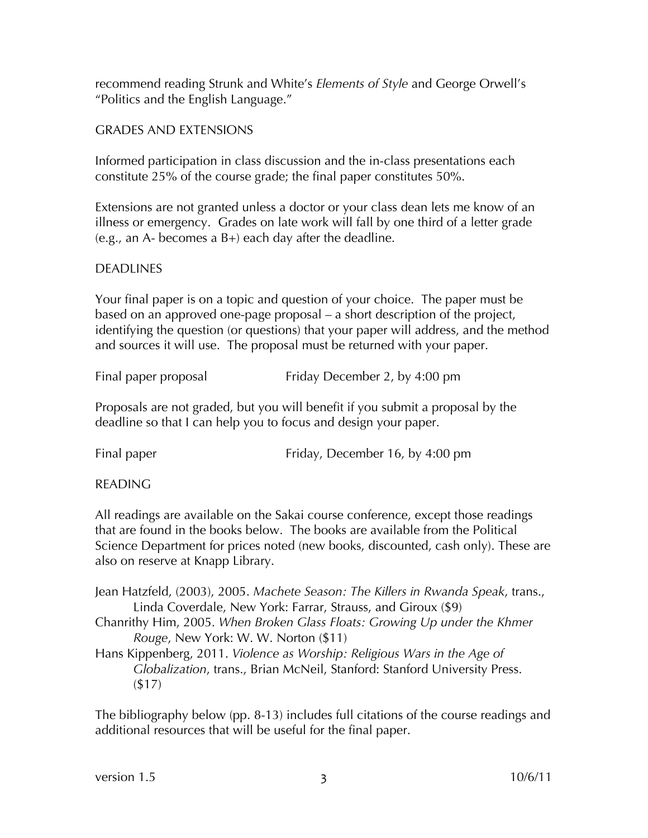recommend reading Strunk and White's *Elements of Style* and George Orwell's "Politics and the English Language."

## GRADES AND EXTENSIONS

Informed participation in class discussion and the in-class presentations each constitute 25% of the course grade; the final paper constitutes 50%.

Extensions are not granted unless a doctor or your class dean lets me know of an illness or emergency. Grades on late work will fall by one third of a letter grade (e.g., an A- becomes a B+) each day after the deadline.

#### DEADLINES

Your final paper is on a topic and question of your choice. The paper must be based on an approved one-page proposal – a short description of the project, identifying the question (or questions) that your paper will address, and the method and sources it will use. The proposal must be returned with your paper.

| Final paper proposal | Friday December 2, by 4:00 pm |
|----------------------|-------------------------------|
|                      |                               |

Proposals are not graded, but you will benefit if you submit a proposal by the deadline so that I can help you to focus and design your paper.

| Final paper | Friday, December 16, by 4:00 pm |
|-------------|---------------------------------|
|             |                                 |

READING

All readings are available on the Sakai course conference, except those readings that are found in the books below. The books are available from the Political Science Department for prices noted (new books, discounted, cash only). These are also on reserve at Knapp Library.

Jean Hatzfeld, (2003), 2005. *Machete Season: The Killers in Rwanda Speak*, trans., Linda Coverdale, New York: Farrar, Strauss, and Giroux (\$9)

Chanrithy Him, 2005. *When Broken Glass Floats: Growing Up under the Khmer Rouge*, New York: W. W. Norton (\$11)

Hans Kippenberg, 2011. *Violence as Worship: Religious Wars in the Age of Globalization*, trans., Brian McNeil, Stanford: Stanford University Press. (\$17)

The bibliography below (pp. 8-13) includes full citations of the course readings and additional resources that will be useful for the final paper.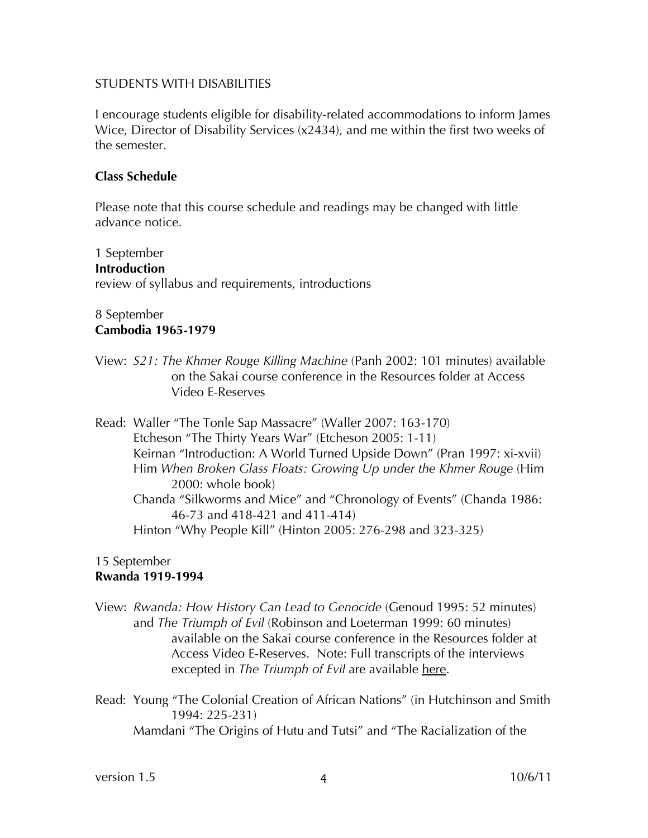#### STUDENTS WITH DISABILITIES

I encourage students eligible for disability-related accommodations to inform James Wice, Director of Disability Services (x2434), and me within the first two weeks of the semester.

#### **Class Schedule**

Please note that this course schedule and readings may be changed with little advance notice.

1 September **Introduction** review of syllabus and requirements, introductions

#### 8 September **Cambodia 1965-1979**

View: *S21: The Khmer Rouge Killing Machine* (Panh 2002: 101 minutes) available on the Sakai course conference in the Resources folder at Access Video E-Reserves

Read: Waller "The Tonle Sap Massacre" (Waller 2007: 163-170) Etcheson "The Thirty Years War" (Etcheson 2005: 1-11) Keirnan "Introduction: A World Turned Upside Down" (Pran 1997: xi-xvii) Him *When Broken Glass Floats: Growing Up under the Khmer Rouge* (Him 2000: whole book) Chanda "Silkworms and Mice" and "Chronology of Events" (Chanda 1986: 46-73 and 418-421 and 411-414) Hinton "Why People Kill" (Hinton 2005: 276-298 and 323-325)

#### 15 September **Rwanda 1919-1994**

View: *Rwanda: How History Can Lead to Genocide* (Genoud 1995: 52 minutes) and *The Triumph of Evil* (Robinson and Loeterman 1999: 60 minutes) available on the Sakai course conference in the Resources folder at Access Video E-Reserves. Note: Full transcripts of the interviews excepted in *The Triumph of Evil* are available here.

Read: Young "The Colonial Creation of African Nations" (in Hutchinson and Smith 1994: 225-231) Mamdani "The Origins of Hutu and Tutsi" and "The Racialization of the

version 1.5 10/6/11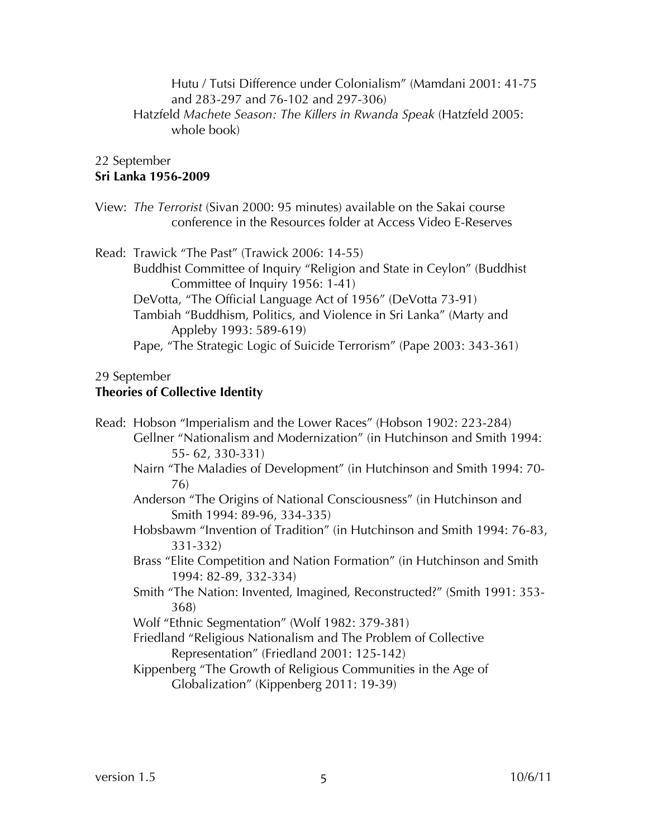Hutu / Tutsi Difference under Colonialism" (Mamdani 2001: 41-75 and 283-297 and 76-102 and 297-306) Hatzfeld *Machete Season: The Killers in Rwanda Speak* (Hatzfeld 2005: whole book)

# 22 September

## **Sri Lanka 1956-2009**

View: *The Terrorist* (Sivan 2000: 95 minutes) available on the Sakai course conference in the Resources folder at Access Video E-Reserves

Read: Trawick "The Past" (Trawick 2006: 14-55)

Buddhist Committee of Inquiry "Religion and State in Ceylon" (Buddhist Committee of Inquiry 1956: 1-41)

DeVotta, "The Official Language Act of 1956" (DeVotta 73-91)

Tambiah "Buddhism, Politics, and Violence in Sri Lanka" (Marty and Appleby 1993: 589-619)

Pape, "The Strategic Logic of Suicide Terrorism" (Pape 2003: 343-361)

#### 29 September

## **Theories of Collective Identity**

- Read: Hobson "Imperialism and the Lower Races" (Hobson 1902: 223-284) Gellner "Nationalism and Modernization" (in Hutchinson and Smith 1994: 55- 62, 330-331) Nairn "The Maladies of Development" (in Hutchinson and Smith 1994: 70- 76) Anderson "The Origins of National Consciousness" (in Hutchinson and Smith 1994: 89-96, 334-335) Hobsbawm "Invention of Tradition" (in Hutchinson and Smith 1994: 76-83, 331-332) Brass "Elite Competition and Nation Formation" (in Hutchinson and Smith 1994: 82-89, 332-334)
	- Smith "The Nation: Invented, Imagined, Reconstructed?" (Smith 1991: 353- 368)

Wolf "Ethnic Segmentation" (Wolf 1982: 379-381)

Friedland "Religious Nationalism and The Problem of Collective Representation" (Friedland 2001: 125-142)

Kippenberg "The Growth of Religious Communities in the Age of Globalization" (Kippenberg 2011: 19-39)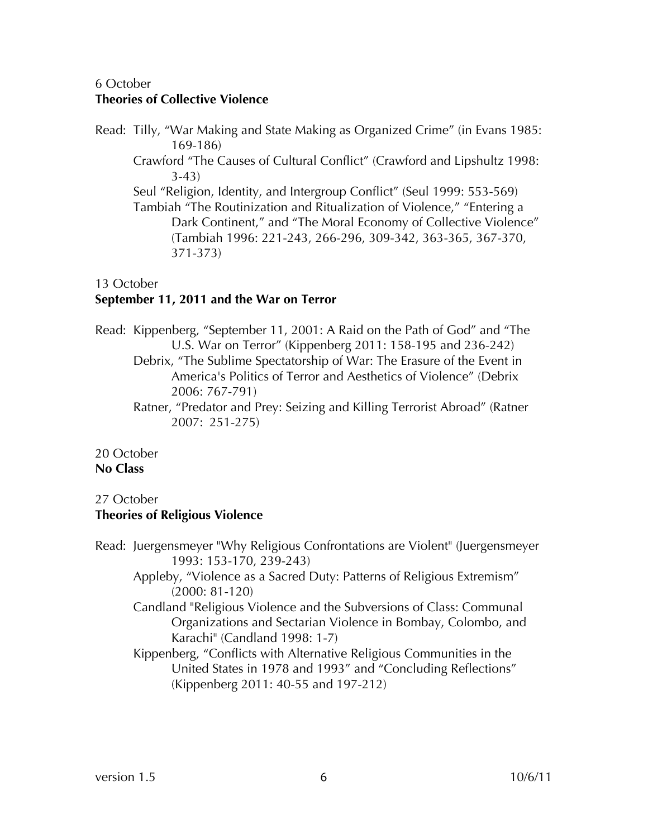## 6 October **Theories of Collective Violence**

Read: Tilly, "War Making and State Making as Organized Crime" (in Evans 1985: 169-186) Crawford "The Causes of Cultural Conflict" (Crawford and Lipshultz 1998: 3-43) Seul "Religion, Identity, and Intergroup Conflict" (Seul 1999: 553-569) Tambiah "The Routinization and Ritualization of Violence," "Entering a Dark Continent," and "The Moral Economy of Collective Violence" (Tambiah 1996: 221-243, 266-296, 309-342, 363-365, 367-370, 371-373)

#### 13 October

## **September 11, 2011 and the War on Terror**

Read: Kippenberg, "September 11, 2001: A Raid on the Path of God" and "The U.S. War on Terror" (Kippenberg 2011: 158-195 and 236-242) Debrix, "The Sublime Spectatorship of War: The Erasure of the Event in America's Politics of Terror and Aesthetics of Violence" (Debrix 2006: 767-791) Ratner, "Predator and Prey: Seizing and Killing Terrorist Abroad" (Ratner

2007: 251-275)

20 October **No Class**

## 27 October **Theories of Religious Violence**

Read: Juergensmeyer "Why Religious Confrontations are Violent" (Juergensmeyer 1993: 153-170, 239-243)

Appleby, "Violence as a Sacred Duty: Patterns of Religious Extremism" (2000: 81-120)

- Candland "Religious Violence and the Subversions of Class: Communal Organizations and Sectarian Violence in Bombay, Colombo, and Karachi" (Candland 1998: 1-7)
- Kippenberg, "Conflicts with Alternative Religious Communities in the United States in 1978 and 1993" and "Concluding Reflections" (Kippenberg 2011: 40-55 and 197-212)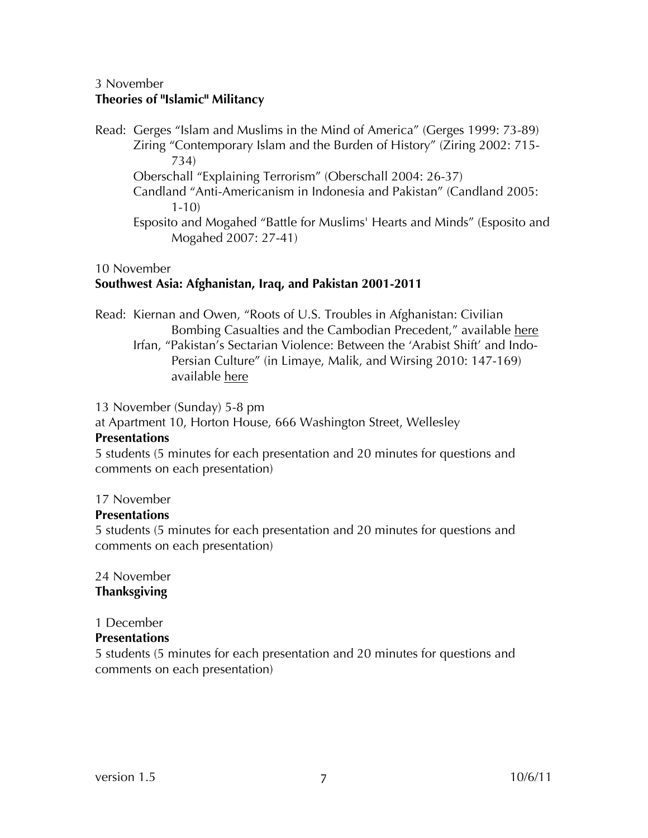#### 3 November **Theories of "Islamic" Militancy**

Read: Gerges "Islam and Muslims in the Mind of America" (Gerges 1999: 73-89) Ziring "Contemporary Islam and the Burden of History" (Ziring 2002: 715- 734) Oberschall "Explaining Terrorism" (Oberschall 2004: 26-37) Candland "Anti-Americanism in Indonesia and Pakistan" (Candland 2005: 1-10) Esposito and Mogahed "Battle for Muslims' Hearts and Minds" (Esposito and Mogahed 2007: 27-41)

#### 10 November

#### **Southwest Asia: Afghanistan, Iraq, and Pakistan 2001-2011**

- Read: Kiernan and Owen, "Roots of U.S. Troubles in Afghanistan: Civilian Bombing Casualties and the Cambodian Precedent," available here
	- Irfan, "Pakistan's Sectarian Violence: Between the 'Arabist Shift' and Indo-Persian Culture" (in Limaye, Malik, and Wirsing 2010: 147-169) available here

13 November (Sunday) 5-8 pm

at Apartment 10, Horton House, 666 Washington Street, Wellesley

#### **Presentations**

5 students (5 minutes for each presentation and 20 minutes for questions and comments on each presentation)

#### 17 November

## **Presentations**

5 students (5 minutes for each presentation and 20 minutes for questions and comments on each presentation)

#### 24 November **Thanksgiving**

## 1 December

## **Presentations**

5 students (5 minutes for each presentation and 20 minutes for questions and comments on each presentation)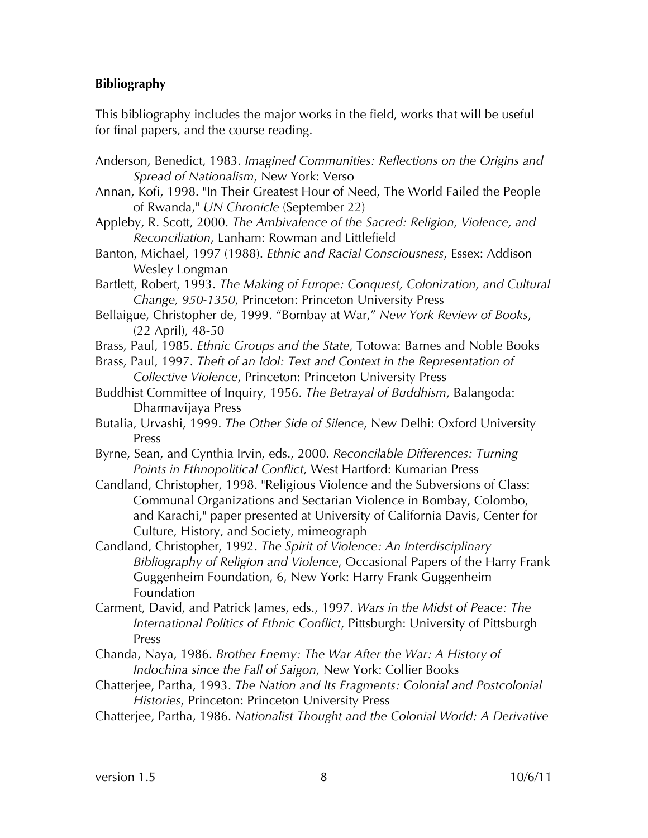#### **Bibliography**

This bibliography includes the major works in the field, works that will be useful for final papers, and the course reading.

- Anderson, Benedict, 1983. *Imagined Communities: Reflections on the Origins and Spread of Nationalism*, New York: Verso
- Annan, Kofi, 1998. "In Their Greatest Hour of Need, The World Failed the People of Rwanda," *UN Chronicle* (September 22)
- Appleby, R. Scott, 2000. *The Ambivalence of the Sacred: Religion, Violence, and Reconciliation*, Lanham: Rowman and Littlefield
- Banton, Michael, 1997 (1988). *Ethnic and Racial Consciousness*, Essex: Addison Wesley Longman

Bartlett, Robert, 1993. *The Making of Europe: Conquest, Colonization, and Cultural Change, 950-1350*, Princeton: Princeton University Press

- Bellaigue, Christopher de, 1999. "Bombay at War," *New York Review of Books*, (22 April), 48-50
- Brass, Paul, 1985. *Ethnic Groups and the State*, Totowa: Barnes and Noble Books
- Brass, Paul, 1997. *Theft of an Idol: Text and Context in the Representation of Collective Violence*, Princeton: Princeton University Press
- Buddhist Committee of Inquiry, 1956. *The Betrayal of Buddhism*, Balangoda: Dharmavijaya Press
- Butalia, Urvashi, 1999. *The Other Side of Silence*, New Delhi: Oxford University Press
- Byrne, Sean, and Cynthia Irvin, eds., 2000. *Reconcilable Differences: Turning Points in Ethnopolitical Conflict*, West Hartford: Kumarian Press

Candland, Christopher, 1998. "Religious Violence and the Subversions of Class: Communal Organizations and Sectarian Violence in Bombay, Colombo, and Karachi," paper presented at University of California Davis, Center for Culture, History, and Society, mimeograph

Candland, Christopher, 1992. *The Spirit of Violence: An Interdisciplinary Bibliography of Religion and Violence*, Occasional Papers of the Harry Frank Guggenheim Foundation, 6, New York: Harry Frank Guggenheim Foundation

Carment, David, and Patrick James, eds., 1997. *Wars in the Midst of Peace: The International Politics of Ethnic Conflict*, Pittsburgh: University of Pittsburgh Press

Chanda, Naya, 1986. *Brother Enemy: The War After the War: A History of Indochina since the Fall of Saigon*, New York: Collier Books

- Chatterjee, Partha, 1993. *The Nation and Its Fragments: Colonial and Postcolonial Histories*, Princeton: Princeton University Press
- Chatterjee, Partha, 1986. *Nationalist Thought and the Colonial World: A Derivative*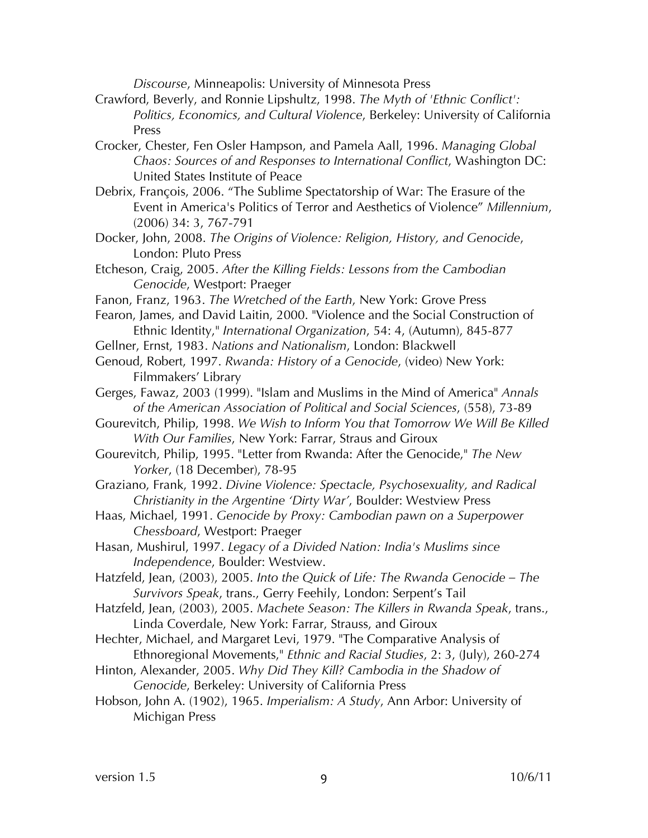*Discourse*, Minneapolis: University of Minnesota Press

- Crawford, Beverly, and Ronnie Lipshultz, 1998. *The Myth of 'Ethnic Conflict': Politics, Economics, and Cultural Violence*, Berkeley: University of California Press
- Crocker, Chester, Fen Osler Hampson, and Pamela Aall, 1996. *Managing Global Chaos: Sources of and Responses to International Conflict*, Washington DC: United States Institute of Peace
- Debrix, François, 2006. "The Sublime Spectatorship of War: The Erasure of the Event in America's Politics of Terror and Aesthetics of Violence" *Millennium*, (2006) 34: 3, 767-791
- Docker, John, 2008. *The Origins of Violence: Religion, History, and Genocide*, London: Pluto Press
- Etcheson, Craig, 2005. *After the Killing Fields: Lessons from the Cambodian Genocide*, Westport: Praeger
- Fanon, Franz, 1963. *The Wretched of the Earth*, New York: Grove Press
- Fearon, James, and David Laitin, 2000. "Violence and the Social Construction of Ethnic Identity," *International Organization*, 54: 4, (Autumn), 845-877
- Gellner, Ernst, 1983. *Nations and Nationalism*, London: Blackwell
- Genoud, Robert, 1997. *Rwanda: History of a Genocide*, (video) New York: Filmmakers' Library
- Gerges, Fawaz, 2003 (1999). "Islam and Muslims in the Mind of America" *Annals of the American Association of Political and Social Sciences*, (558), 73-89
- Gourevitch, Philip, 1998. *We Wish to Inform You that Tomorrow We Will Be Killed With Our Families*, New York: Farrar, Straus and Giroux
- Gourevitch, Philip, 1995. "Letter from Rwanda: After the Genocide," *The New Yorker*, (18 December), 78-95
- Graziano, Frank, 1992. *Divine Violence: Spectacle, Psychosexuality, and Radical Christianity in the Argentine 'Dirty War'*, Boulder: Westview Press
- Haas, Michael, 1991. *Genocide by Proxy: Cambodian pawn on a Superpower Chessboard*, Westport: Praeger
- Hasan, Mushirul, 1997. *Legacy of a Divided Nation: India's Muslims since Independence*, Boulder: Westview.
- Hatzfeld, Jean, (2003), 2005. *Into the Quick of Life: The Rwanda Genocide – The Survivors Speak*, trans., Gerry Feehily, London: Serpent's Tail
- Hatzfeld, Jean, (2003), 2005. *Machete Season: The Killers in Rwanda Speak*, trans., Linda Coverdale, New York: Farrar, Strauss, and Giroux
- Hechter, Michael, and Margaret Levi, 1979. "The Comparative Analysis of Ethnoregional Movements," *Ethnic and Racial Studies*, 2: 3, (July), 260-274
- Hinton, Alexander, 2005. *Why Did They Kill? Cambodia in the Shadow of Genocide*, Berkeley: University of California Press
- Hobson, John A. (1902), 1965. *Imperialism: A Study*, Ann Arbor: University of Michigan Press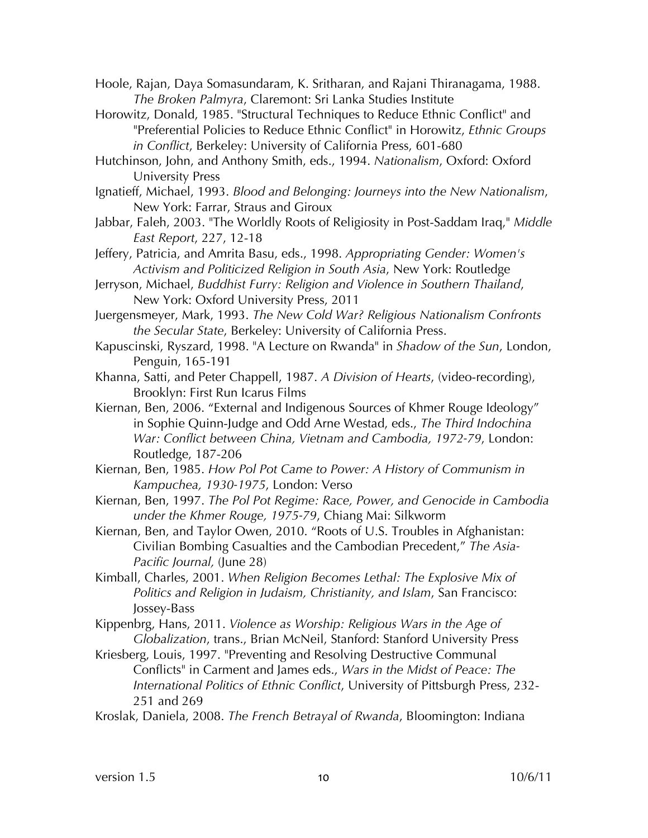Hoole, Rajan, Daya Somasundaram, K. Sritharan, and Rajani Thiranagama, 1988. *The Broken Palmyra*, Claremont: Sri Lanka Studies Institute

Horowitz, Donald, 1985. "Structural Techniques to Reduce Ethnic Conflict" and "Preferential Policies to Reduce Ethnic Conflict" in Horowitz, *Ethnic Groups in Conflict*, Berkeley: University of California Press, 601-680

Hutchinson, John, and Anthony Smith, eds., 1994. *Nationalism*, Oxford: Oxford University Press

Ignatieff, Michael, 1993. *Blood and Belonging: Journeys into the New Nationalism*, New York: Farrar, Straus and Giroux

Jabbar, Faleh, 2003. "The Worldly Roots of Religiosity in Post-Saddam Iraq," *Middle East Report*, 227, 12-18

Jeffery, Patricia, and Amrita Basu, eds., 1998. *Appropriating Gender: Women's Activism and Politicized Religion in South Asia*, New York: Routledge

Jerryson, Michael, *Buddhist Furry: Religion and Violence in Southern Thailand*, New York: Oxford University Press, 2011

Juergensmeyer, Mark, 1993. *The New Cold War? Religious Nationalism Confronts the Secular State*, Berkeley: University of California Press.

Kapuscinski, Ryszard, 1998. "A Lecture on Rwanda" in *Shadow of the Sun*, London, Penguin, 165-191

Khanna, Satti, and Peter Chappell, 1987. *A Division of Hearts*, (video-recording), Brooklyn: First Run Icarus Films

Kiernan, Ben, 2006. "External and Indigenous Sources of Khmer Rouge Ideology" in Sophie Quinn-Judge and Odd Arne Westad, eds., *The Third Indochina War: Conflict between China, Vietnam and Cambodia, 1972-79*, London: Routledge, 187-206

Kiernan, Ben, 1985. *How Pol Pot Came to Power: A History of Communism in Kampuchea, 1930-1975*, London: Verso

Kiernan, Ben, 1997. *The Pol Pot Regime: Race, Power, and Genocide in Cambodia under the Khmer Rouge, 1975-79*, Chiang Mai: Silkworm

Kiernan, Ben, and Taylor Owen, 2010. "Roots of U.S. Troubles in Afghanistan: Civilian Bombing Casualties and the Cambodian Precedent," *The Asia-Pacific Journal,* (June 28)

Kimball, Charles, 2001. *When Religion Becomes Lethal: The Explosive Mix of Politics and Religion in Judaism, Christianity, and Islam*, San Francisco: Jossey-Bass

Kippenbrg, Hans, 2011. *Violence as Worship: Religious Wars in the Age of Globalization*, trans., Brian McNeil, Stanford: Stanford University Press

Kriesberg, Louis, 1997. "Preventing and Resolving Destructive Communal Conflicts" in Carment and James eds., *Wars in the Midst of Peace: The International Politics of Ethnic Conflict*, University of Pittsburgh Press, 232- 251 and 269

Kroslak, Daniela, 2008. *The French Betrayal of Rwanda*, Bloomington: Indiana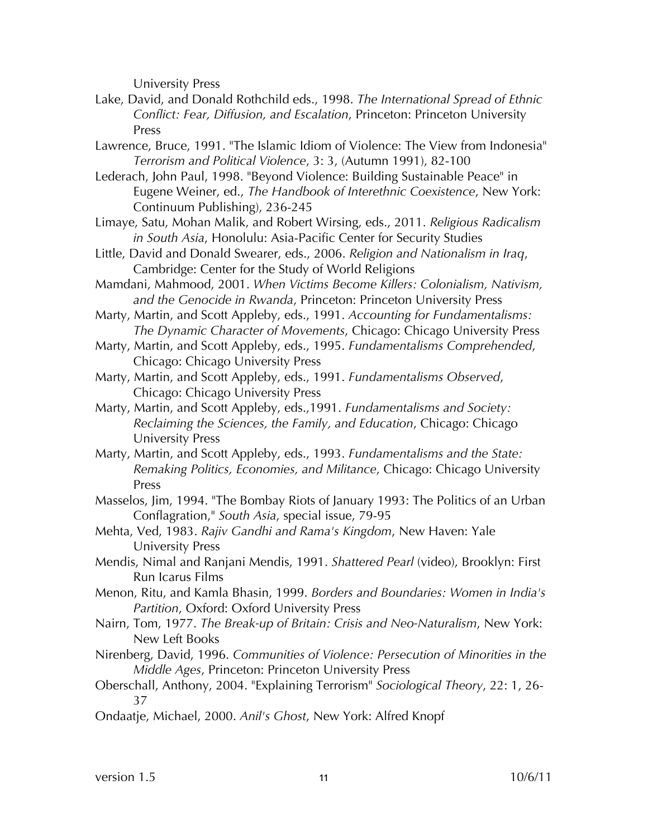University Press

- Lake, David, and Donald Rothchild eds., 1998. *The International Spread of Ethnic Conflict: Fear, Diffusion, and Escalation*, Princeton: Princeton University Press
- Lawrence, Bruce, 1991. "The Islamic Idiom of Violence: The View from Indonesia" *Terrorism and Political Violence*, 3: 3, (Autumn 1991), 82-100
- Lederach, John Paul, 1998. "Beyond Violence: Building Sustainable Peace" in Eugene Weiner, ed., *The Handbook of Interethnic Coexistence*, New York: Continuum Publishing), 236-245
- Limaye, Satu, Mohan Malik, and Robert Wirsing, eds., 2011. *Religious Radicalism in South Asia*, Honolulu: Asia-Pacific Center for Security Studies
- Little, David and Donald Swearer, eds., 2006. *Religion and Nationalism in Iraq*, Cambridge: Center for the Study of World Religions
- Mamdani, Mahmood, 2001. *When Victims Become Killers: Colonialism, Nativism, and the Genocide in Rwanda*, Princeton: Princeton University Press
- Marty, Martin, and Scott Appleby, eds., 1991. *Accounting for Fundamentalisms: The Dynamic Character of Movements*, Chicago: Chicago University Press
- Marty, Martin, and Scott Appleby, eds., 1995. *Fundamentalisms Comprehended*, Chicago: Chicago University Press
- Marty, Martin, and Scott Appleby, eds., 1991. *Fundamentalisms Observed*, Chicago: Chicago University Press
- Marty, Martin, and Scott Appleby, eds.,1991. *Fundamentalisms and Society: Reclaiming the Sciences, the Family, and Education*, Chicago: Chicago University Press
- Marty, Martin, and Scott Appleby, eds., 1993. *Fundamentalisms and the State: Remaking Politics, Economies, and Militance*, Chicago: Chicago University Press
- Masselos, Jim, 1994. "The Bombay Riots of January 1993: The Politics of an Urban Conflagration," *South Asia*, special issue, 79-95
- Mehta, Ved, 1983. *Rajiv Gandhi and Rama's Kingdom*, New Haven: Yale University Press
- Mendis, Nimal and Ranjani Mendis, 1991. *Shattered Pearl* (video), Brooklyn: First Run Icarus Films
- Menon, Ritu, and Kamla Bhasin, 1999. *Borders and Boundaries: Women in India's Partition*, Oxford: Oxford University Press
- Nairn, Tom, 1977. *The Break-up of Britain: Crisis and Neo-Naturalism*, New York: New Left Books
- Nirenberg, David, 1996. *Communities of Violence: Persecution of Minorities in the Middle Ages*, Princeton: Princeton University Press
- Oberschall, Anthony, 2004. "Explaining Terrorism" *Sociological Theory*, 22: 1, 26- 37
- Ondaatje, Michael, 2000. *Anil's Ghost*, New York: Alfred Knopf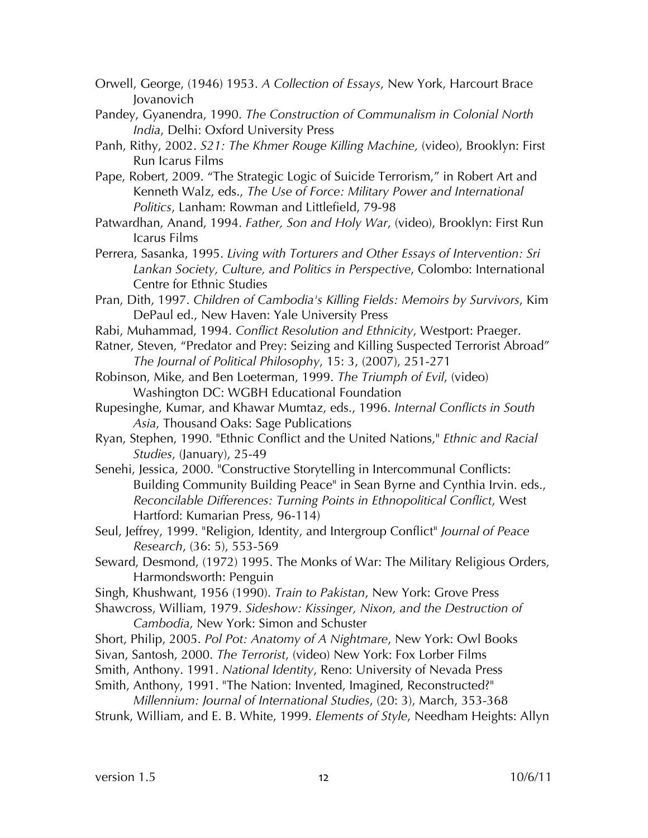- Orwell, George, (1946) 1953. *A Collection of Essays*, New York, Harcourt Brace Jovanovich
- Pandey, Gyanendra, 1990. *The Construction of Communalism in Colonial North India*, Delhi: Oxford University Press
- Panh, Rithy, 2002. *S21: The Khmer Rouge Killing Machine,* (video), Brooklyn: First Run Icarus Films
- Pape, Robert, 2009. "The Strategic Logic of Suicide Terrorism," in Robert Art and Kenneth Walz, eds., *The Use of Force: Military Power and International Politics*, Lanham: Rowman and Littlefield, 79-98
- Patwardhan, Anand, 1994. *Father, Son and Holy War*, (video), Brooklyn: First Run Icarus Films
- Perrera, Sasanka, 1995. *Living with Torturers and Other Essays of Intervention: Sri Lankan Society, Culture, and Politics in Perspective*, Colombo: International Centre for Ethnic Studies
- Pran, Dith, 1997. *Children of Cambodia's Killing Fields: Memoirs by Survivors*, Kim DePaul ed., New Haven: Yale University Press
- Rabi, Muhammad, 1994. *Conflict Resolution and Ethnicity*, Westport: Praeger.
- Ratner, Steven, "Predator and Prey: Seizing and Killing Suspected Terrorist Abroad" *The Journal of Political Philosophy*, 15: 3, (2007), 251-271
- Robinson, Mike, and Ben Loeterman, 1999. *The Triumph of Evil*, (video) Washington DC: WGBH Educational Foundation
- Rupesinghe, Kumar, and Khawar Mumtaz, eds., 1996. *Internal Conflicts in South Asia*, Thousand Oaks: Sage Publications
- Ryan, Stephen, 1990. "Ethnic Conflict and the United Nations," *Ethnic and Racial Studies*, (January), 25-49
- Senehi, Jessica, 2000. "Constructive Storytelling in Intercommunal Conflicts: Building Community Building Peace" in Sean Byrne and Cynthia Irvin. eds., *Reconcilable Differences: Turning Points in Ethnopolitical Conflict*, West Hartford: Kumarian Press, 96-114)
- Seul, Jeffrey, 1999. "Religion, Identity, and Intergroup Conflict" *Journal of Peace Research*, (36: 5), 553-569
- Seward, Desmond, (1972) 1995. The Monks of War: The Military Religious Orders, Harmondsworth: Penguin
- Singh, Khushwant, 1956 (1990). *Train to Pakistan*, New York: Grove Press
- Shawcross, William, 1979. *Sideshow: Kissinger, Nixon, and the Destruction of Cambodia*, New York: Simon and Schuster
- Short, Philip, 2005. *Pol Pot: Anatomy of A Nightmare*, New York: Owl Books
- Sivan, Santosh, 2000. *The Terrorist*, (video) New York: Fox Lorber Films
- Smith, Anthony. 1991. *National Identity*, Reno: University of Nevada Press
- Smith, Anthony, 1991. "The Nation: Invented, Imagined, Reconstructed?" *Millennium: Journal of International Studies*, (20: 3), March, 353-368
- Strunk, William, and E. B. White, 1999. *Elements of Style*, Needham Heights: Allyn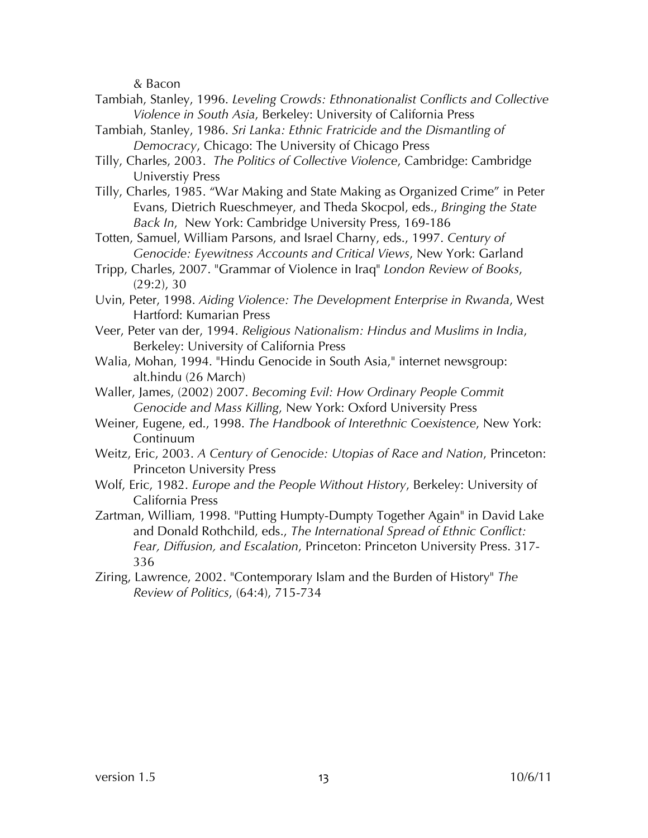& Bacon

- Tambiah, Stanley, 1996. *Leveling Crowds: Ethnonationalist Conflicts and Collective Violence in South Asia*, Berkeley: University of California Press
- Tambiah, Stanley, 1986. *Sri Lanka: Ethnic Fratricide and the Dismantling of Democracy*, Chicago: The University of Chicago Press
- Tilly, Charles, 2003. *The Politics of Collective Violence*, Cambridge: Cambridge Universtiy Press
- Tilly, Charles, 1985. "War Making and State Making as Organized Crime" in Peter Evans, Dietrich Rueschmeyer, and Theda Skocpol, eds., *Bringing the State Back In*, New York: Cambridge University Press, 169-186

Totten, Samuel, William Parsons, and Israel Charny, eds., 1997. *Century of Genocide: Eyewitness Accounts and Critical Views*, New York: Garland

- Tripp, Charles, 2007. "Grammar of Violence in Iraq" *London Review of Books*, (29:2), 30
- Uvin, Peter, 1998. *Aiding Violence: The Development Enterprise in Rwanda*, West Hartford: Kumarian Press
- Veer, Peter van der, 1994. *Religious Nationalism: Hindus and Muslims in India*, Berkeley: University of California Press
- Walia, Mohan, 1994. "Hindu Genocide in South Asia," internet newsgroup: alt.hindu (26 March)
- Waller, James, (2002) 2007. *Becoming Evil: How Ordinary People Commit Genocide and Mass Killing*, New York: Oxford University Press
- Weiner, Eugene, ed., 1998. *The Handbook of Interethnic Coexistence*, New York: Continuum
- Weitz, Eric, 2003. *A Century of Genocide: Utopias of Race and Nation*, Princeton: Princeton University Press
- Wolf, Eric, 1982. *Europe and the People Without History*, Berkeley: University of California Press
- Zartman, William, 1998. "Putting Humpty-Dumpty Together Again" in David Lake and Donald Rothchild, eds., *The International Spread of Ethnic Conflict: Fear, Diffusion, and Escalation*, Princeton: Princeton University Press. 317- 336
- Ziring, Lawrence, 2002. "Contemporary Islam and the Burden of History" *The Review of Politics*, (64:4), 715-734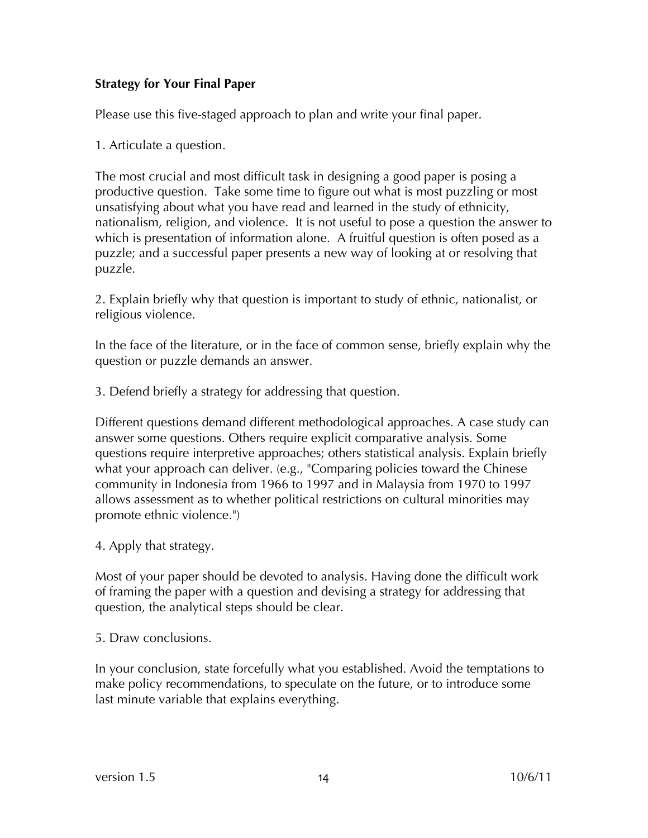#### **Strategy for Your Final Paper**

Please use this five-staged approach to plan and write your final paper.

1. Articulate a question.

The most crucial and most difficult task in designing a good paper is posing a productive question. Take some time to figure out what is most puzzling or most unsatisfying about what you have read and learned in the study of ethnicity, nationalism, religion, and violence. It is not useful to pose a question the answer to which is presentation of information alone. A fruitful question is often posed as a puzzle; and a successful paper presents a new way of looking at or resolving that puzzle.

2. Explain briefly why that question is important to study of ethnic, nationalist, or religious violence.

In the face of the literature, or in the face of common sense, briefly explain why the question or puzzle demands an answer.

3. Defend briefly a strategy for addressing that question.

Different questions demand different methodological approaches. A case study can answer some questions. Others require explicit comparative analysis. Some questions require interpretive approaches; others statistical analysis. Explain briefly what your approach can deliver. (e.g., "Comparing policies toward the Chinese community in Indonesia from 1966 to 1997 and in Malaysia from 1970 to 1997 allows assessment as to whether political restrictions on cultural minorities may promote ethnic violence.")

4. Apply that strategy.

Most of your paper should be devoted to analysis. Having done the difficult work of framing the paper with a question and devising a strategy for addressing that question, the analytical steps should be clear.

5. Draw conclusions.

In your conclusion, state forcefully what you established. Avoid the temptations to make policy recommendations, to speculate on the future, or to introduce some last minute variable that explains everything.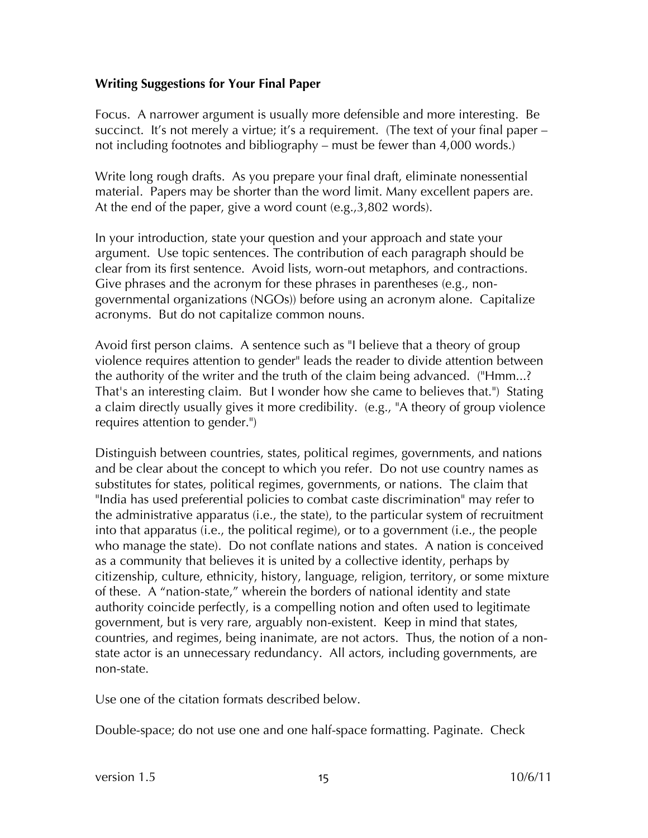#### **Writing Suggestions for Your Final Paper**

Focus. A narrower argument is usually more defensible and more interesting. Be succinct. It's not merely a virtue; it's a requirement. (The text of your final paper – not including footnotes and bibliography – must be fewer than 4,000 words.)

Write long rough drafts. As you prepare your final draft, eliminate nonessential material. Papers may be shorter than the word limit. Many excellent papers are. At the end of the paper, give a word count (e.g.,3,802 words).

In your introduction, state your question and your approach and state your argument. Use topic sentences. The contribution of each paragraph should be clear from its first sentence. Avoid lists, worn-out metaphors, and contractions. Give phrases and the acronym for these phrases in parentheses (e.g., nongovernmental organizations (NGOs)) before using an acronym alone. Capitalize acronyms. But do not capitalize common nouns.

Avoid first person claims. A sentence such as "I believe that a theory of group violence requires attention to gender" leads the reader to divide attention between the authority of the writer and the truth of the claim being advanced. ("Hmm...? That's an interesting claim. But I wonder how she came to believes that.") Stating a claim directly usually gives it more credibility. (e.g., "A theory of group violence requires attention to gender.")

Distinguish between countries, states, political regimes, governments, and nations and be clear about the concept to which you refer. Do not use country names as substitutes for states, political regimes, governments, or nations. The claim that "India has used preferential policies to combat caste discrimination" may refer to the administrative apparatus (i.e., the state), to the particular system of recruitment into that apparatus (i.e., the political regime), or to a government (i.e., the people who manage the state). Do not conflate nations and states. A nation is conceived as a community that believes it is united by a collective identity, perhaps by citizenship, culture, ethnicity, history, language, religion, territory, or some mixture of these. A "nation-state," wherein the borders of national identity and state authority coincide perfectly, is a compelling notion and often used to legitimate government, but is very rare, arguably non-existent. Keep in mind that states, countries, and regimes, being inanimate, are not actors. Thus, the notion of a nonstate actor is an unnecessary redundancy. All actors, including governments, are non-state.

Use one of the citation formats described below.

Double-space; do not use one and one half-space formatting. Paginate. Check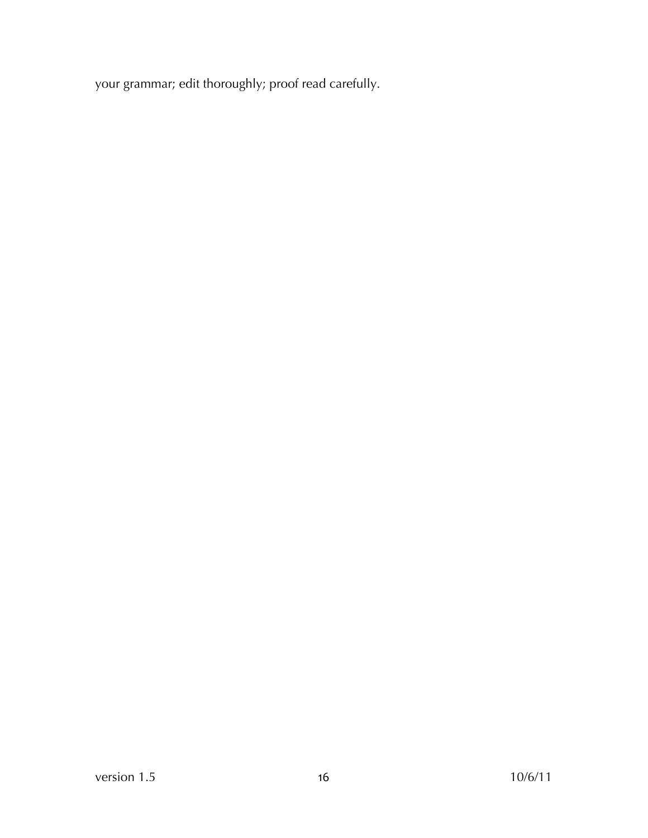your grammar; edit thoroughly; proof read carefully.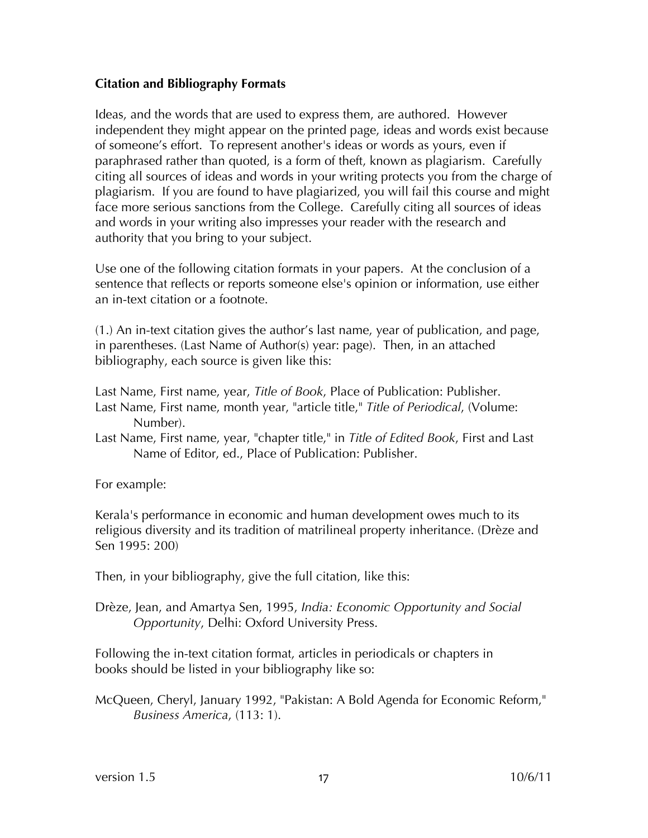#### **Citation and Bibliography Formats**

Ideas, and the words that are used to express them, are authored. However independent they might appear on the printed page, ideas and words exist because of someone's effort. To represent another's ideas or words as yours, even if paraphrased rather than quoted, is a form of theft, known as plagiarism. Carefully citing all sources of ideas and words in your writing protects you from the charge of plagiarism. If you are found to have plagiarized, you will fail this course and might face more serious sanctions from the College. Carefully citing all sources of ideas and words in your writing also impresses your reader with the research and authority that you bring to your subject.

Use one of the following citation formats in your papers. At the conclusion of a sentence that reflects or reports someone else's opinion or information, use either an in-text citation or a footnote.

(1.) An in-text citation gives the author's last name, year of publication, and page, in parentheses. (Last Name of Author(s) year: page). Then, in an attached bibliography, each source is given like this:

Last Name, First name, year, *Title of Book*, Place of Publication: Publisher. Last Name, First name, month year, "article title," *Title of Periodical*, (Volume: Number).

Last Name, First name, year, "chapter title," in *Title of Edited Book*, First and Last Name of Editor, ed., Place of Publication: Publisher.

For example:

Kerala's performance in economic and human development owes much to its religious diversity and its tradition of matrilineal property inheritance. (Drèze and Sen 1995: 200)

Then, in your bibliography, give the full citation, like this:

Drèze, Jean, and Amartya Sen, 1995, *India: Economic Opportunity and Social Opportunity*, Delhi: Oxford University Press.

Following the in-text citation format, articles in periodicals or chapters in books should be listed in your bibliography like so:

McQueen, Cheryl, January 1992, "Pakistan: A Bold Agenda for Economic Reform," *Business America*, (113: 1).